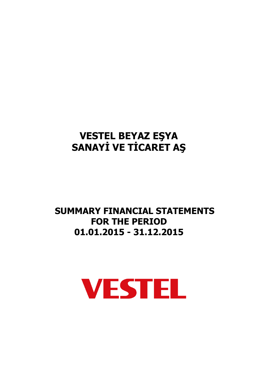# **SUMMARY FINANCIAL STATEMENTS FOR THE PERIOD 01.01.2015 - 31.12.2015**

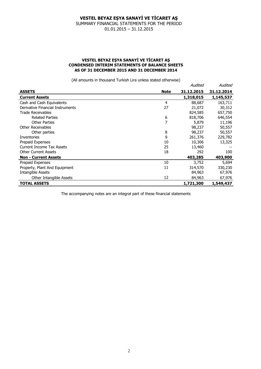SUMMARY FINANCIAL STATEMENTS FOR THE PERIOD 01.01.2015 – 31.12.2015

### **VESTEL BEYAZ EŞYA SANAYİ VE TİCARET AŞ CONDENSED INTERIM STATEMENTS OF BALANCE SHEETS AS OF 31 DECEMBER 2015 AND 31 DECEMBER 2014**

(All amounts in thousand Turkish Lira unless stated otherwise)

|                                  |             | Audited    | Audited    |
|----------------------------------|-------------|------------|------------|
| <b>ASSETS</b>                    | <b>Note</b> | 31.12.2015 | 31.12.2014 |
| <b>Current Assets</b>            |             | 1,318,015  | 1,145,537  |
| Cash and Cash Equivalents        | 4           | 88,687     | 163,711    |
| Derivative Financial Instruments | 27          | 21,072     | 30,312     |
| Trade Receivables                |             | 824,585    | 657,750    |
| <b>Related Parties</b>           | 6           | 818,706    | 646,554    |
| <b>Other Parties</b>             | 7           | 5,879      | 11,196     |
| Other Receivables                |             | 98,237     | 50,557     |
| Other parties                    | 8           | 98,237     | 50,557     |
| Inventories                      | 9           | 261,376    | 229,782    |
| Prepaid Expenses                 | 10          | 10,306     | 13,325     |
| Current Income Tax Assets        | 25          | 13,460     |            |
| <b>Other Current Assets</b>      | 18          | 292        | 100        |
| <b>Non - Current Assets</b>      |             | 403,285    | 403,900    |
| Prepaid Expenses                 | 10          | 3,752      | 5,694      |
| Property, Plant And Equipment    | 11          | 314,570    | 330,230    |
| Intangible Assets                |             | 84,963     | 67,976     |
| Other Intangible Assets          | 12          | 84,963     | 67,976     |
| <b>TOTAL ASSETS</b>              |             | 1,721,300  | 1,549,437  |

The accompanying notes are an integral part of these financial statements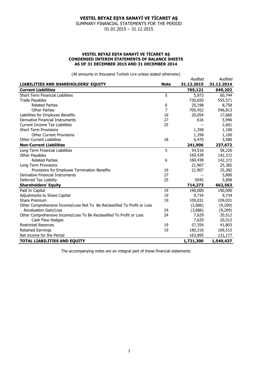SUMMARY FINANCIAL STATEMENTS FOR THE PERIOD 01.01.2015 – 31.12.2015

#### **VESTEL BEYAZ EŞYA SANAYİ VE TİCARET AŞ CONDENSED INTERIM STATEMENTS OF BALANCE SHEETS AS OF 31 DECEMBER 2015 AND 31 DECEMBER 2014**

(All amounts in thousand Turkish Lira unless stated otherwise)

| $\sum$ and all produce the contract of the contract of the contract $\sum$ |             | Audited    | Audited    |
|----------------------------------------------------------------------------|-------------|------------|------------|
| LIABILITIES AND SHAREHOLDERS' EQUITY                                       | <b>Note</b> | 31.12.2015 | 31.12.2014 |
| <b>Current Liabilities</b>                                                 |             | 765,121    | 649,202    |
| <b>Short Term Financial Liabilities</b>                                    | 5           | 5,973      | 60,744     |
| <b>Trade Payables</b>                                                      |             | 730,650    | 555,571    |
| <b>Related Parties</b>                                                     | 6           | 25,198     | 8,758      |
| <b>Other Parties</b>                                                       | 7           | 705,452    | 546,813    |
| Liabilities for Employee Benefits                                          | 16          | 20,054     | 17,660     |
| Derivative Financial Instruments                                           | 27          | 616        | 5,946      |
| <b>Current Income Tax Liabilities</b>                                      | 25          |            | 2,601      |
| <b>Short Term Provisions</b>                                               |             | 1,358      | 1,100      |
| <b>Other Current Provisions</b>                                            |             | 1,358      | 1,100      |
| <b>Other Current Liabilities</b>                                           | 18          | 6,470      | 5,580      |
| <b>Non-Current Liabilities</b>                                             |             | 241,906    | 237,672    |
| Long Term Financial Liabilities                                            | 5           | 54,516     | 58,220     |
| Other Payables                                                             |             | 160,438    | 142,372    |
| <b>Related Parties</b>                                                     | 6           | 160,438    | 142,372    |
| Long Term Provisions                                                       |             | 21,907     | 25,382     |
| Provisions for Employee Termination Benefits                               | 16          | 21,907     | 25,382     |
| Derivative Financial Instruments                                           | 27          |            | 5,800      |
| Deferred Tax Liability                                                     | 25          | 5045       | 5,898      |
| <b>Shareholders' Equity</b>                                                |             | 714,273    | 662,563    |
| Paid In Capital                                                            | 19          | 190,000    | 190,000    |
| Adjustments to Share Capital                                               | 19          | 9,734      | 9,734      |
| <b>Share Premium</b>                                                       | 19          | 109,031    | 109,031    |
| Other Comprehensive Income/Loss Not To Be Reclassified To Profit or Loss   |             | (3,686)    | (9,209)    |
| <b>Revaluation Gain/Loss</b>                                               | 24          | (3,686)    | (9,209)    |
| Other Comprehensive Income/Loss To Be Reclassified To Profit or Loss       | 24          | 7,629      | 20,512     |
| Cash Flow Hedges                                                           |             | 7,629      | 20,512     |
| <b>Restricted Reserves</b>                                                 | 19          | 57,354     | 41,803     |
| <b>Retained Earnings</b>                                                   | 19          | 180,316    | 169,515    |
| Net income for the Period                                                  |             | 163,895    | 131,177    |
| <b>TOTAL LIABILITIES AND EQUITY</b>                                        |             | 1,721,300  | 1,549,437  |

The accompanying notes are an integral part of these financial statements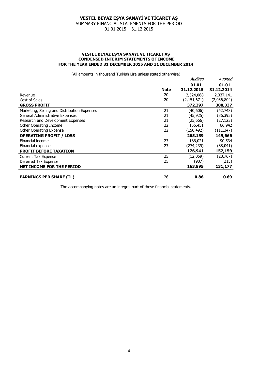SUMMARY FINANCIAL STATEMENTS FOR THE PERIOD 01.01.2015 – 31.12.2015

#### **VESTEL BEYAZ EŞYA SANAYİ VE TİCARET AŞ CONDENSED INTERIM STATEMENTS OF INCOME FOR THE YEAR ENDED 31 DECEMBER 2015 AND 31 DECEMBER 2014**

(All amounts in thousand Turkish Lira unless stated otherwise)

| (All allivulits iii thuusahu Turkisii Liia unicss statcu vulchwisc) |             |             |             |
|---------------------------------------------------------------------|-------------|-------------|-------------|
|                                                                     |             | Audited     | Audited     |
|                                                                     |             | $01.01 -$   | $01.01 -$   |
|                                                                     | <b>Note</b> | 31.12.2015  | 31.12.2014  |
| Revenue                                                             | 20          | 2,524,068   | 2,337,141   |
| Cost of Sales                                                       | 20          | (2,151,671) | (2,036,804) |
| <b>GROSS PROFIT</b>                                                 |             | 372,397     | 300,337     |
| Marketing, Selling and Distribution Expenses                        | 21          | (40, 606)   | (42,748)    |
| General Administrative Expenses                                     | 21          | (45, 925)   | (36, 395)   |
| Research and Development Expenses                                   | 21          | (25,666)    | (27, 123)   |
| Other Operating Income                                              | 22          | 155,451     | 66,942      |
| Other Operating Expense                                             | 22          | (150, 492)  | (111, 347)  |
| <b>OPERATING PROFIT / LOSS</b>                                      |             | 265,159     | 149,666     |
| Financial income                                                    | 23          | 186,021     | 90,534      |
| Financial expense                                                   | 23          | (274,239)   | (88,041)    |
| <b>PROFIT BEFORE TAXATION</b>                                       |             | 176,941     | 152,159     |
| <b>Current Tax Expense</b>                                          | 25          | (12,059)    | (20, 767)   |
| Deferred Tax Expense                                                | 25          | (987)       | (215)       |
| <b>NET INCOME FOR THE PERIOD</b>                                    |             | 163,895     | 131,177     |
| <b>EARNINGS PER SHARE (TL)</b>                                      | 26          | 0.86        | 0.69        |

The accompanying notes are an integral part of these financial statements.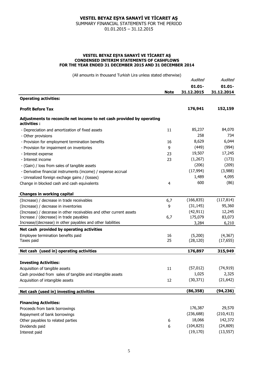SUMMARY FINANCIAL STATEMENTS FOR THE PERIOD 01.01.2015 – 31.12.2015

#### **VESTEL BEYAZ EŞYA SANAYİ VE TİCARET AŞ CONDENSED INTERIM STATEMENTS OF CASHFLOWS FOR THE YEAR ENDED 31 DECEMBER 2015 AND 31 DECEMBER 2014**

(All amounts in thousand Turkish Lira unless stated otherwise)

|                                                                                      |             | Audited<br>$01.01 -$<br>31.12.2015 | Audited<br>$01.01 -$<br>31.12.2014 |
|--------------------------------------------------------------------------------------|-------------|------------------------------------|------------------------------------|
|                                                                                      |             |                                    |                                    |
|                                                                                      | <b>Note</b> |                                    |                                    |
| <b>Operating activities:</b>                                                         |             |                                    |                                    |
| <b>Profit Before Tax</b>                                                             |             | 176,941                            | 152,159                            |
| Adjustments to reconcile net income to net cash provided by operating<br>activities: |             |                                    |                                    |
| - Depreciation and amortization of fixed assets                                      | 11          | 85,237                             | 84,070                             |
| - Other provisions                                                                   |             | 258                                | 734                                |
| - Provision for employment termination benefits                                      | 16          | 8,629                              | 6,044                              |
| - Provision for impairment on inventories                                            | 9           | (449)                              | (994)                              |
| - Interest expense                                                                   | 23          | 19,507                             | 17,245                             |
| - Interest income                                                                    | 23          | (1,267)                            | (173)                              |
| - (Gain) / loss from sales of tangible assets                                        |             | (206)                              | (209)                              |
| - Derivative financial instruments (income) / expense accrual                        |             | (17, 994)                          | (3,988)                            |
| - Unrealized foreign exchage gains / (losses)                                        |             | 1,489                              | 4,095                              |
| Change in blocked cash and cash equivalents                                          | 4           | 600                                | (86)                               |
| <b>Changes in working capital</b>                                                    |             |                                    |                                    |
| (Increase) / decrease in trade receivables                                           | 6,7         | (166, 835)                         | (117, 814)                         |
| (Increase) / decrease in inventories                                                 | 9           | (31, 145)                          | 95,360                             |
| (Increase) / decerase in other receivables and other current assets                  |             | (42, 911)                          | 12,245                             |
| Increase / (decrease) in trade payables                                              | 6,7         | 175,079                            | 83,073                             |
| Increase/(decrease) in other payables and other liabilities                          |             | 3,284                              | 6,210                              |
| Net cash provided by operating activities                                            |             |                                    |                                    |
| Employee termination benefits paid                                                   | 16          | (5,200)                            | (4,367)                            |
| Taxes paid                                                                           | 25          | (28, 120)                          | (17, 655)                          |
| Net cash (used in) operating activities                                              |             | 176,897                            | 315,949                            |
| <b>Investing Activities:</b>                                                         |             |                                    |                                    |
| Acquisition of tangible assets                                                       | 11          | (57, 012)                          | (74, 919)                          |
| Cash provided from sales of tangible and intangible assets                           |             | 1.025                              | 2,325                              |
| Acquisition of intangible assets                                                     | 12          | (30, 371)                          | (21, 642)                          |
| Net cash (used in) investing activities                                              |             | (86, 358)                          | (94, 236)                          |
|                                                                                      |             |                                    |                                    |
| <b>Financing Activities:</b>                                                         |             | 176,387                            | 29,570                             |
| Proceeds from bank borrowings                                                        |             | (236, 688)                         | (210, 413)                         |
| Repayment of bank borrowings                                                         |             | 18,066                             | 142,372                            |
| Other payables to related parties                                                    | 6           | (104, 825)                         | (24, 809)                          |
| Dividends paid                                                                       | 6           | (19, 170)                          |                                    |
| Interest paid                                                                        |             |                                    | (13, 557)                          |